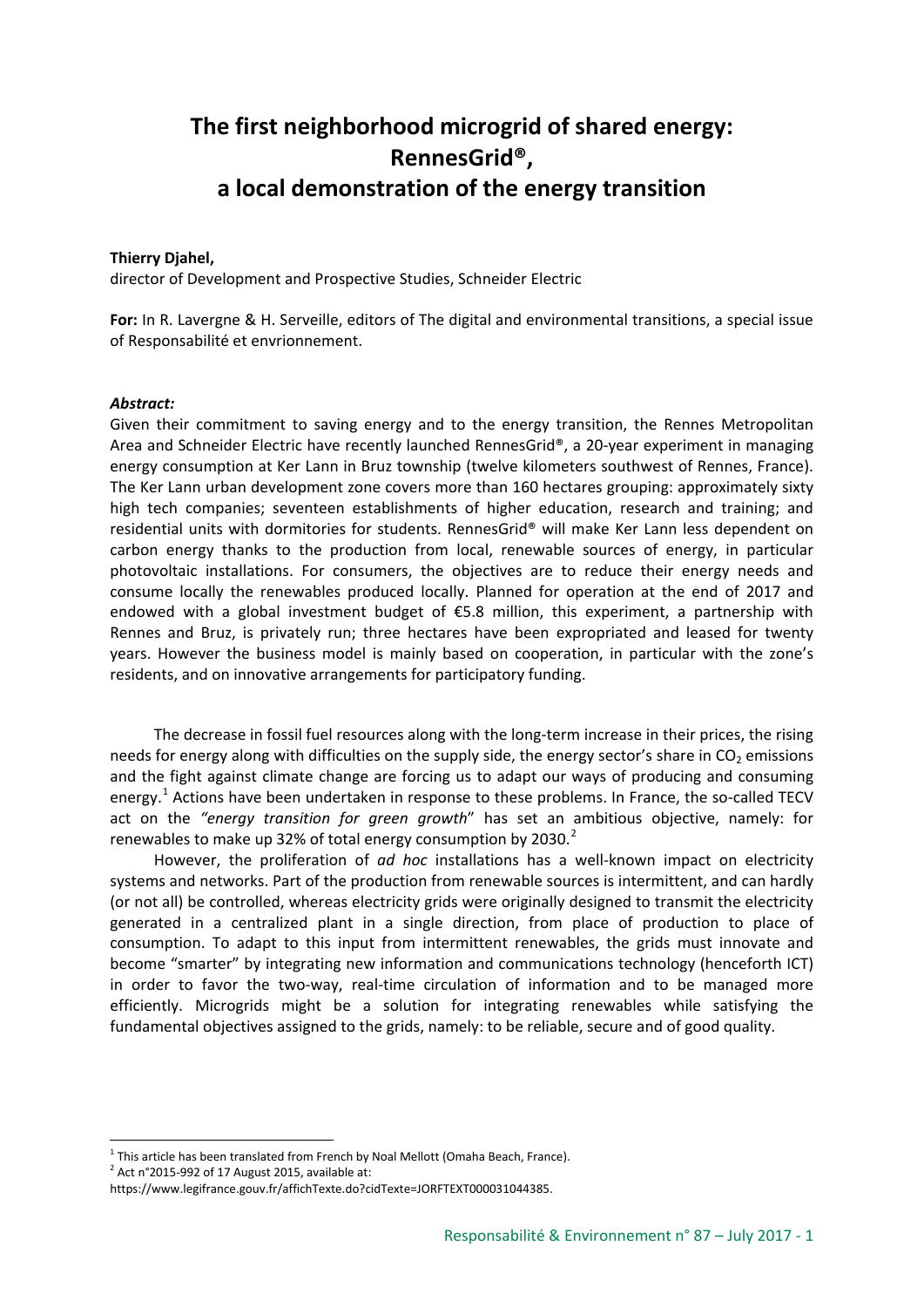## **The first neighborhood microgrid of shared energy: RennesGrid®, a local demonstration of the energy transition**

## **Thierry Djahel,**

director of Development and Prospective Studies, Schneider Electric

**For:** In R. Lavergne & H. Serveille, editors of The digital and environmental transitions, a special issue of Responsabilité et envrionnement.

## *Abstract:*

Given their commitment to saving energy and to the energy transition, the Rennes Metropolitan Area and Schneider Electric have recently launched RennesGrid®, a 20-year experiment in managing energy consumption at Ker Lann in Bruz township (twelve kilometers southwest of Rennes, France). The Ker Lann urban development zone covers more than 160 hectares grouping: approximately sixty high tech companies; seventeen establishments of higher education, research and training; and residential units with dormitories for students. RennesGrid® will make Ker Lann less dependent on carbon energy thanks to the production from local, renewable sources of energy, in particular photovoltaic installations. For consumers, the objectives are to reduce their energy needs and consume locally the renewables produced locally. Planned for operation at the end of 2017 and endowed with a global investment budget of €5.8 million, this experiment, a partnership with Rennes and Bruz, is privately run; three hectares have been expropriated and leased for twenty years. However the business model is mainly based on cooperation, in particular with the zone's residents, and on innovative arrangements for participatory funding.

The decrease in fossil fuel resources along with the long-term increase in their prices, the rising needs for energy along with difficulties on the supply side, the energy sector's share in  $CO<sub>2</sub>$  emissions and the fight against climate change are forcing us to adapt our ways of producing and consuming energy.<sup>[1](#page-0-0)</sup> Actions have been undertaken in response to these problems. In France, the so-called TECV act on the *"energy transition for green growth*" has set an ambitious objective, namely: for renewables to make up 3[2](#page-0-1)% of total energy consumption by 2030. $2$ 

However, the proliferation of *ad hoc* installations has a well-known impact on electricity systems and networks. Part of the production from renewable sources is intermittent, and can hardly (or not all) be controlled, whereas electricity grids were originally designed to transmit the electricity generated in a centralized plant in a single direction, from place of production to place of consumption. To adapt to this input from intermittent renewables, the grids must innovate and become "smarter" by integrating new information and communications technology (henceforth ICT) in order to favor the two-way, real-time circulation of information and to be managed more efficiently. Microgrids might be a solution for integrating renewables while satisfying the fundamental objectives assigned to the grids, namely: to be reliable, secure and of good quality.

<span id="page-0-0"></span> $1$  This article has been translated from French by Noal Mellott (Omaha Beach, France).

<span id="page-0-1"></span> $2$  Act n°2015-992 of 17 August 2015, available at:

https://www.legifrance.gouv.fr/affichTexte.do?cidTexte=JORFTEXT000031044385.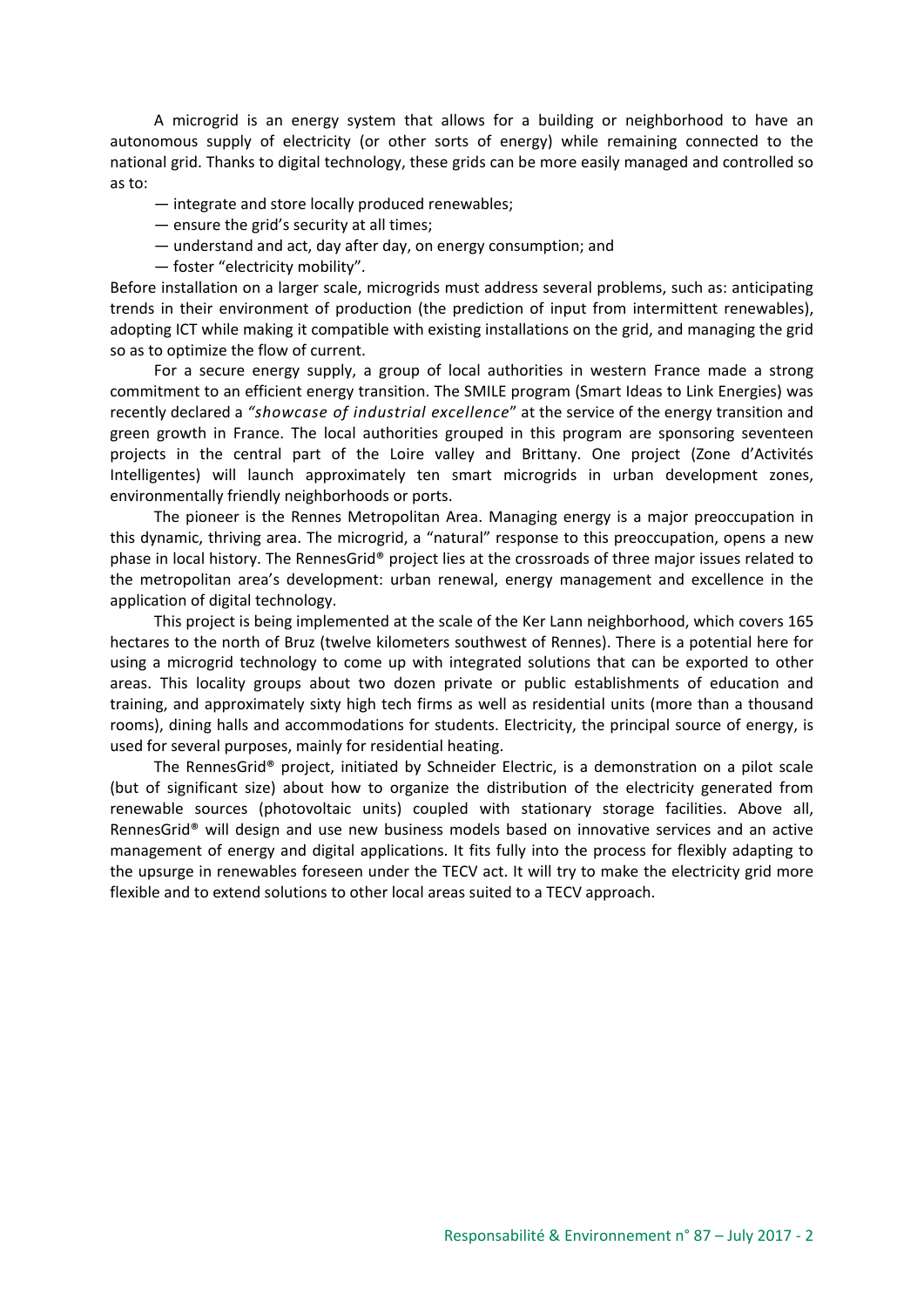A microgrid is an energy system that allows for a building or neighborhood to have an autonomous supply of electricity (or other sorts of energy) while remaining connected to the national grid. Thanks to digital technology, these grids can be more easily managed and controlled so as to:

- integrate and store locally produced renewables;
- ensure the grid's security at all times;
- understand and act, day after day, on energy consumption; and
- foster "electricity mobility".

Before installation on a larger scale, microgrids must address several problems, such as: anticipating trends in their environment of production (the prediction of input from intermittent renewables), adopting ICT while making it compatible with existing installations on the grid, and managing the grid so as to optimize the flow of current.

For a secure energy supply, a group of local authorities in western France made a strong commitment to an efficient energy transition. The SMILE program (Smart Ideas to Link Energies) was recently declared a *"showcase of industrial excellence*" at the service of the energy transition and green growth in France. The local authorities grouped in this program are sponsoring seventeen projects in the central part of the Loire valley and Brittany. One project (Zone d'Activités Intelligentes) will launch approximately ten smart microgrids in urban development zones, environmentally friendly neighborhoods or ports.

The pioneer is the Rennes Metropolitan Area. Managing energy is a major preoccupation in this dynamic, thriving area. The microgrid, a "natural" response to this preoccupation, opens a new phase in local history. The RennesGrid® project lies at the crossroads of three major issues related to the metropolitan area's development: urban renewal, energy management and excellence in the application of digital technology.

This project is being implemented at the scale of the Ker Lann neighborhood, which covers 165 hectares to the north of Bruz (twelve kilometers southwest of Rennes). There is a potential here for using a microgrid technology to come up with integrated solutions that can be exported to other areas. This locality groups about two dozen private or public establishments of education and training, and approximately sixty high tech firms as well as residential units (more than a thousand rooms), dining halls and accommodations for students. Electricity, the principal source of energy, is used for several purposes, mainly for residential heating.

The RennesGrid® project, initiated by Schneider Electric, is a demonstration on a pilot scale (but of significant size) about how to organize the distribution of the electricity generated from renewable sources (photovoltaic units) coupled with stationary storage facilities. Above all, RennesGrid® will design and use new business models based on innovative services and an active management of energy and digital applications. It fits fully into the process for flexibly adapting to the upsurge in renewables foreseen under the TECV act. It will try to make the electricity grid more flexible and to extend solutions to other local areas suited to a TECV approach.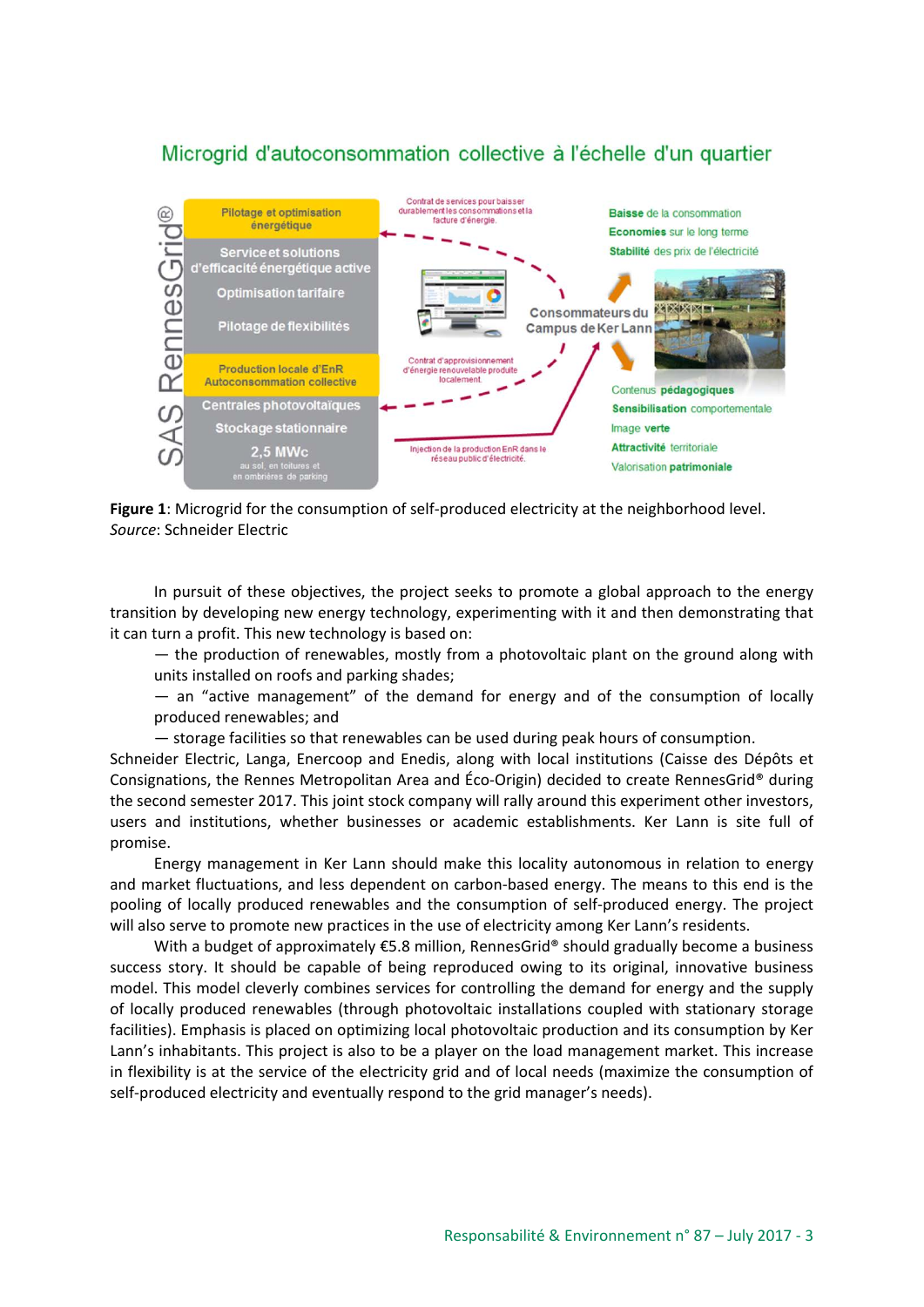## Microgrid d'autoconsommation collective à l'échelle d'un quartier



**Figure 1**: Microgrid for the consumption of self-produced electricity at the neighborhood level. *Source*: Schneider Electric

In pursuit of these objectives, the project seeks to promote a global approach to the energy transition by developing new energy technology, experimenting with it and then demonstrating that it can turn a profit. This new technology is based on:

— the production of renewables, mostly from a photovoltaic plant on the ground along with units installed on roofs and parking shades;

— an "active management" of the demand for energy and of the consumption of locally produced renewables; and

— storage facilities so that renewables can be used during peak hours of consumption.

Schneider Electric, Langa, Enercoop and Enedis, along with local institutions (Caisse des Dépôts et Consignations, the Rennes Metropolitan Area and Éco-Origin) decided to create RennesGrid® during the second semester 2017. This joint stock company will rally around this experiment other investors, users and institutions, whether businesses or academic establishments. Ker Lann is site full of promise.

Energy management in Ker Lann should make this locality autonomous in relation to energy and market fluctuations, and less dependent on carbon-based energy. The means to this end is the pooling of locally produced renewables and the consumption of self-produced energy. The project will also serve to promote new practices in the use of electricity among Ker Lann's residents.

With a budget of approximately €5.8 million, RennesGrid® should gradually become a business success story. It should be capable of being reproduced owing to its original, innovative business model. This model cleverly combines services for controlling the demand for energy and the supply of locally produced renewables (through photovoltaic installations coupled with stationary storage facilities). Emphasis is placed on optimizing local photovoltaic production and its consumption by Ker Lann's inhabitants. This project is also to be a player on the load management market. This increase in flexibility is at the service of the electricity grid and of local needs (maximize the consumption of self-produced electricity and eventually respond to the grid manager's needs).